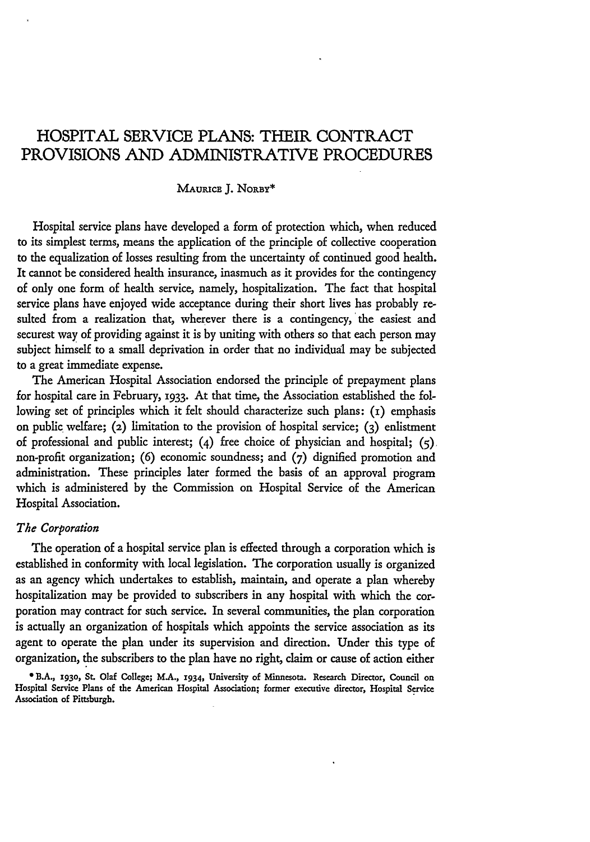# HOSPITAL SERVICE PLANS: THEIR CONTRACT PROVISIONS AND ADMINISTRATIVE PROCEDURES

MAURICE J. NORBY\*

Hospital service plans have developed a form of protection which, when reduced to its simplest terms, means the application of the principle of collective cooperation to the equalization of losses resulting from the uncertainty of continued good health. It cannot be considered health insurance, inasmuch as it provides for the contingency of only one form of health service, namely, hospitalization. The fact that hospital service plans have enjoyed wide acceptance during their short lives has probably resulted from a realization that, wherever there is a contingency, the easiest and securest way of providing against it is by uniting with others so that each person may subject himself to a small deprivation in order that no individual may be subjected to a great immediate expense.

The American Hospital Association endorsed the principle of prepayment plans for hospital care in February, 1933. At that time, the Association established the following set of principles which it felt should characterize such plans: (1) emphasis on public welfare; (z) limitation to the provision of hospital service; **(3)** enlistment of professional and public interest; (4) free choice of physician and hospital; **(5)** non-profit organization; (6) economic soundness; and (7) dignified promotion and administration. These principles later formed the basis of an approval program which is administered by the Commission on Hospital Service of the American Hospital Association.

### *The Corporation*

The operation of a hospital service plan is effected through a corporation which is established in conformity with local legislation. The corporation usually is organized as an agency which undertakes to establish, maintain, and operate a plan whereby hospitalization may be provided to subscribers in any hospital with which the corporation may contract for such service. In several communities, the plan corporation is actually an organization of hospitals which appoints the service association as its agent to operate the plan under its supervision and direction. Under this type of organization, the subscribers to the plan have no right, claim or cause of action either

**<sup>\*</sup> B.A., 1930, St.** Olaf College; **M.A., 1934, University of Minnesota. Research Director, Council on Hospital Service** Plans **of the** American Hospital **Association;** former **executive** director, Hospital **Service Association of** Pittsburgh.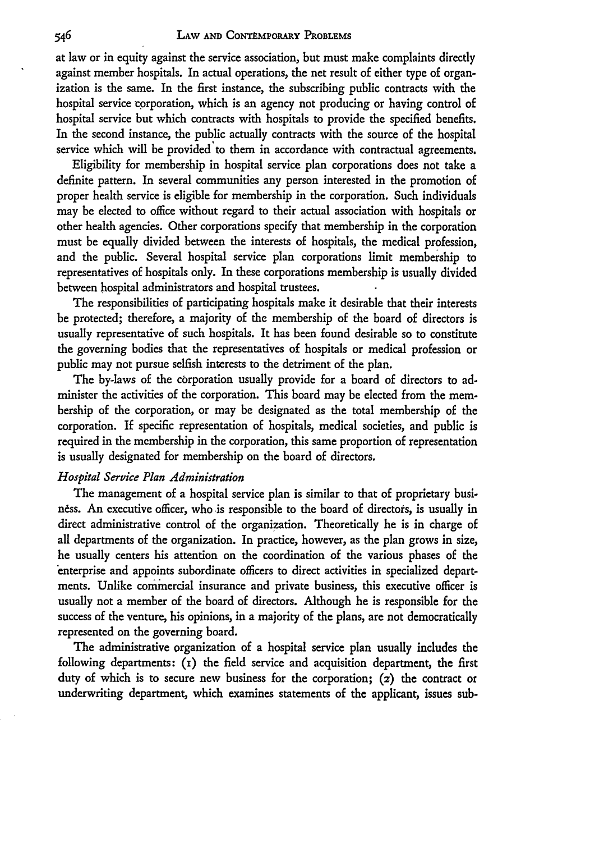### 546 **LAW AND CONTEMPORARY PROBLEMS**

at law or in equity against the service association, but must make complaints directly against member hospitals. In actual operations, the net result of either type of organization is the same. In the first instance, the subscribing public contracts with the hospital service corporation, which is an agency not producing or having control of hospital service but which contracts with hospitals to provide the specified benefits. In the second instance, the public actually contracts with the source of the hospital service which will be provided to them in accordance with contractual agreements.

Eligibility for membership in hospital service plan corporations does not take a definite pattern. In several communities any person interested in the promotion of proper health service is eligible for membership in the corporation. Such individuals may be elected to office without regard to their actual association with hospitals or other health agencies. Other corporations specify that membership in the corporation must be equally divided between the interests of hospitals, the medical profession, and the public. Several hospital service plan corporations limit membership to representatives of hospitals only. In these corporations membership is usually divided between hospital administrators and hospital trustees.

The responsibilities of participating hospitals make it desirable that their interests be protected; therefore, a majority of the membership of the board of directors is usually representative of such hospitals. It has been found desirable so to constitute the governing bodies that the representatives of hospitals or medical profession or public may not pursue selfish interests to the detriment of the plan.

The by-laws of the corporation usually provide for a board of directors to administer the activities of the corporation. This board may be elected from the membership of the corporation, or may be designated as the total membership of the corporation. If specific representation of hospitals, medical societies, and public is required in the membership in the corporation, this same proportion of representation is usually designated for membership on the board of directors.

### *Hospital Service Plan Administration*

The management of a hospital service plan is similar to that of proprietary businéss. An executive officer, who is responsible to the board of directors, is usually in direct administrative control of the organization. Theoretically he is in charge of all departments of the organization. In practice, however, as the plan grows in size, he usually centers his attention on the coordination of the various phases of the enterprise and appoints subordinate officers to direct activities in specialized departments. Unlike commercial insurance and private business, this executive officer is usually not a member of the board of directors. Although he is responsible for the success of the venture, his opinions, in a majority of the plans, are not democratically represented on the governing board.

The administrative organization of a hospital service plan usually includes the following departments: (i) the field service and acquisition department, the first duty of which is to secure new business for the corporation; (z) the contract or underwriting department, which examines statements of the applicant, issues sub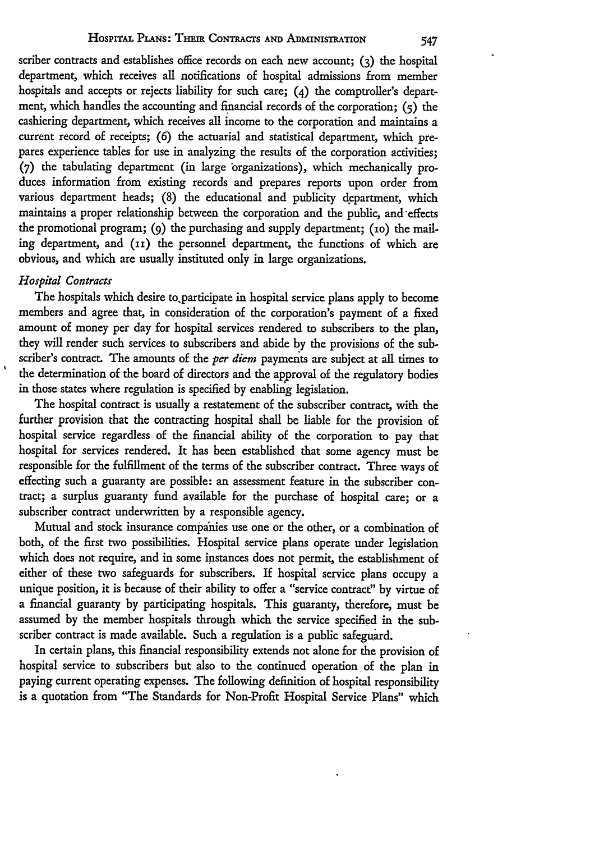scriber contracts and establishes office records on each new account; **(3)** the hospital department, which receives all notifications of hospital admissions from member hospitals and accepts or rejects liability for such care; (4) the comptroller's department, which handles the accounting and financial records of the corporation; **(5)** the cashiering department, which receives all income to the corporation and maintains a current record of receipts; (6) the actuarial and statistical department, which prepares experience tables for use in analyzing the results of the corporation activities; **(7)** the tabulating department (in large 'organizations), which mechanically produces information from existing records and prepares reports upon order from various department heads; (8) the educational and publicity department, which maintains a proper relationship between the corporation and the public, and 'effects the promotional program; (9) the purchasing and supply department; (io) the mailing department, and **(ii)** the personnel department, the functions of which are obvious, and which are usually instituted only in large organizations.

### *Hospital Contracts*

The hospitals which desire to participate in hospital service plans apply to become members and agree that, in consideration of the corporation's payment of a fixed amount of money per day for hospital services rendered to subscribers to the plan, they will render such services to subscribers and abide by the provisions of the subscriber's contract. The amounts of the *per diem* payments are subject at all times to the determination of the board of directors and the approval of the regulatory bodies in those states where regulation is specified by enabling legislation.

The hospital contract is usually a restatement of the subscriber contract, with the further provision that the contracting hospital shall be liable for the provision of hospital service regardless of the financial ability of the corporation to pay that hospital for services rendered. It has been established that some agency must be responsible for the fulfillment of the terms of the subscriber contract. Three ways of effecting such a guaranty are possible: an assessment feature in the subscriber contract; a surplus guaranty fund available for the purchase of hospital care; or a subscriber contract underwritten by a responsible agency.

Mutual and stock insurance companies use one or the other, or a combination of both, of the first two possibilities. Hospital service plans operate under legislation which does not require, and in some instances does not permit, the establishment of either of these two safeguards for subscribers. If hospital service plans occupy a unique position, it is because of their ability to offer a "service contract" by virtue of a financial guaranty by participating hospitals. This guaranty, therefore, must be assumed by the member hospitals through which the service specified in the subscriber contract is made available. Such a regulation is a public safeguard.

In certain plans, this financial responsibility extends not alone for the provision of hospital service to subscribers but also to the continued operation of the plan in paying current operating expenses. The following definition of hospital responsibility is a quotation from "The Standards for Non-Profit Hospital Service Plans" which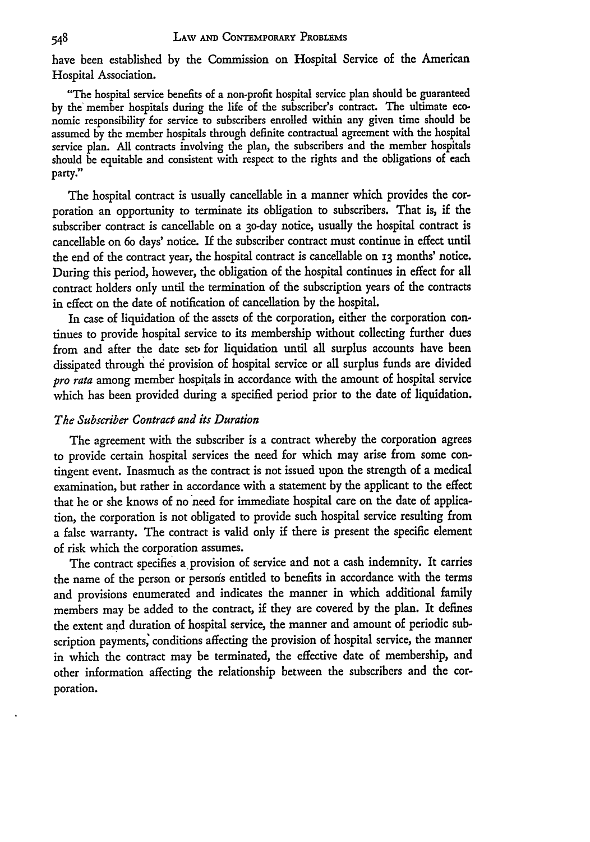have been established **by** the Commission on Hospital Service of the American Hospital Association.

"The hospital service benefits of a non-profit hospital service plan should be guaranteed by the member hospitals during the life of the subscriber's contract. The ultimate economic responsibility for service to subscribers enrolled within any given time should be assumed **by** the member hospitals through definite contractual agreement with the hospital service plan. **All** contracts involving the plan, the subscribers and the member hospitals should be equitable and consistent with respect to the rights and the obligations of each party."

The hospital contract is usually cancellable in a manner which provides the corporation an opportunity to terminate its obligation to subscribers. That is, if the subscriber contract is cancellable on a 3o-day notice, usually the hospital contract is cancellable on 6o days' notice. If the subscriber contract must continue in effect until the end of the contract year, the hospital contract is cancellable on **13** months' notice. During this period, however, the obligation of the hospital continues in effect for all contract holders only until the termination of the subscription years of the contracts in effect on the date of notification of cancellation **by** the hospital.

In case of liquidation of the assets of the corporation, either the corporation continues to provide hospital service to its membership without collecting further dues from and after the date set, for liquidation until all surplus accounts have been dissipated through the provision of hospital service or all surplus funds are divided *pro rata* among member hospitals in accordance with the amount of hospital service which has been provided during a specified period prior to the date of liquidation.

# *The Subscriber Contract and its Duration*

The agreement with the subscriber is a contract whereby the corporation agrees to provide certain hospital services the need for which may arise from some contingent event. Inasmuch as the contract is not issued upon the strength of a medical examination, but rather in accordance with a statement **by** the applicant to the effect that he or she knows of no need for immediate hospital care on the date of application, the corporation is not obligated to provide such hospital service resulting from a false warranty. The contract is valid only if there is present the specific element of risk which the corporation assumes.

The contract specifies a, provision of service and not a cash indemnity. It carries the name of the person or persons entitled to benefits in accordance with the terms and provisions enumerated and indicates the manner in which additional family members may be added to the contract, if they are covered **by** the plan. It defines the extent and duration of hospital service, the manner and amount of periodic subscription payments, conditions affecting the provision of hospital service, the manner in which the contract may be terminated, the effective date of membership, and other information affecting the relationship between the subscribers and the corporation.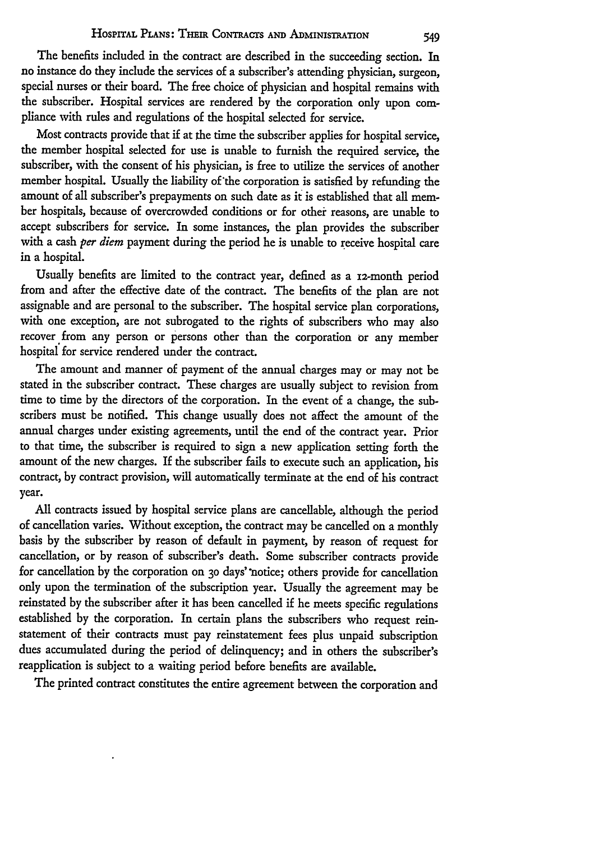The benefits included in the contract are described in the succeeding section. In no instance do they include the services of a subscriber's attending physician, surgeon, special nurses or their board. The free choice of physician and hospital remains with the subscriber. Hospital services are rendered by the corporation only upon compliance with rules and regulations of the hospital selected for service.

Most contracts provide that if at the time the subscriber applies for hospital service, the member hospital selected for use is unable to furnish the required service, the subscriber, with the consent of his physician, is free to utilize the services of another member hospital. Usually the liability of the corporation is satisfied by refunding the amount of all subscriber's prepayments on such date as it is established that all member hospitals, because of overcrowded conditions or for other reasons, are unable to accept subscribers for service. In some instances, the plan provides the subscriber with a cash *per diem* payment during the period he is unable to receive hospital care in a hospital.

Usually benefits are limited to the contract year, defined as a i2-month period from and after the effective date of the contract. The benefits of the plan are not assignable and are personal to the subscriber. The hospital service plan corporations, with one exception, are not subrogated to the rights of subscribers who may also recover from any person or persons other than the corporation or any member hospital for service rendered under the contract.

The amount and manner of payment of the annual charges may or may not be stated in the subscriber contract. These charges are usually subject to revision from time to time by the directors of the corporation. In the event of a change, the subscribers must be notified. This change usually does not affect the amount of the annual charges under existing agreements, until the end of the contract year. Prior to that time, the subscriber is required to sign a new application setting forth the amount of the new charges. If the subscriber fails to execute such an application, his contract, by contract provision, will automatically terminate at the end of his contract year.

All contracts issued by hospital service plans are cancellable, although the period of cancellation varies. Without exception, the contract may be cancelled on a monthly basis by the subscriber by reason of default in payment, by reason of request for cancellation, or by reason of subscriber's death. Some subscriber contracts provide for cancellation by the corporation on **30** days' "notice; others provide for cancellation only upon the termination of the subscription year. Usually the agreement may be reinstated by the subscriber after it has been cancelled if he meets specific regulations established by the corporation. In certain plans the subscribers who request reinstatement of their contracts must pay reinstatement fees plus unpaid subscription dues accumulated during the period of delinquency; and in others the subscriber's reapplication is subject to a waiting period before benefits are available.

The printed contract constitutes the entire agreement between the corporation and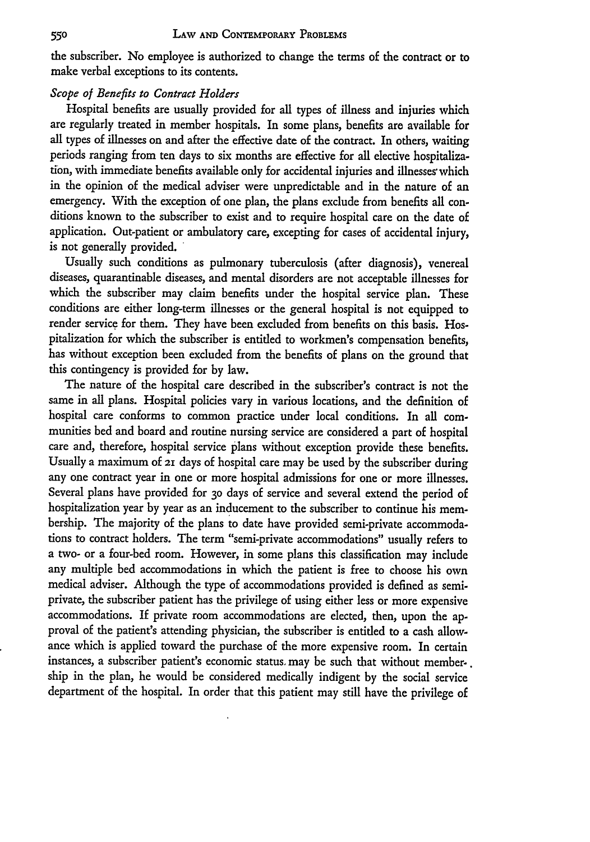the subscriber. No employee is authorized to change the terms of the contract or to make verbal exceptions to its contents.

# *Scope of Benefits to Contract Holders*

Hospital benefits are usually provided for all types of illness and injuries which are regularly treated in member hospitals. In some plans, benefits are available for all types of illnesses on and after the effective date of the contract. In others, waiting periods ranging from ten days to six months are effective for all elective hospitalization, with immediate benefits available only for accidental injuries and illnesses' which in the opinion of the medical adviser were unpredictable and in the nature of an emergency. With the exception of one plan, the plans exclude from benefits all conditions known to the subscriber to exist and to require hospital care on the date of application. Out-patient or ambulatory care, excepting for cases of accidental injury, is not generally provided.

Usually such conditions as pulmonary tuberculosis (after diagnosis), venereal diseases, quarantinable diseases, and mental disorders are not acceptable illnesses for which the subscriber may claim benefits under the hospital service plan. These conditions are either long-term illnesses or the general hospital is not equipped to render service for them. They have been excluded from benefits on this basis. Hospitalization for which the subscriber is entitled to workmen's compensation benefits, has without exception been excluded from the benefits of plans on the ground that this contingency is provided for by law.

The nature of the hospital care described in the subscriber's contract is not the same in all plans. Hospital policies vary in various locations, and the definition of hospital care conforms to common practice under local conditions. In all communities bed and board and routine nursing service are considered a part of hospital care and, therefore, hospital service plans without exception provide these benefits. Usually a maximum of **21** days of hospital care may be used by the subscriber during any one contract year in one or more hospital admissions for one or more illnesses. Several plans have provided for 3o days of service and several extend the period of hospitalization year by year as an inducement to the subscriber to continue his membership. The majority of the plans to date have provided semi-private accommodations to contract holders. The term "semi-private accommodations" usually refers to a two- or a four-bed room. However, in some plans this classification may include any multiple bed accommodations in which the patient is free to choose his own medical adviser. Although the type of accommodations provided is defined as semiprivate, the subscriber patient has the privilege of using either less or more expensive accommodations. If private room accommodations are elected, then, upon the approval of the patient's attending physician, the subscriber is entitled to a cash allowance which is applied toward the purchase of the more expensive room. In certain instances, a subscriber patient's economic status. may be such that without member-. ship in the plan, he would be considered medically indigent by the social service department of the hospital. In order that this patient may still have the privilege of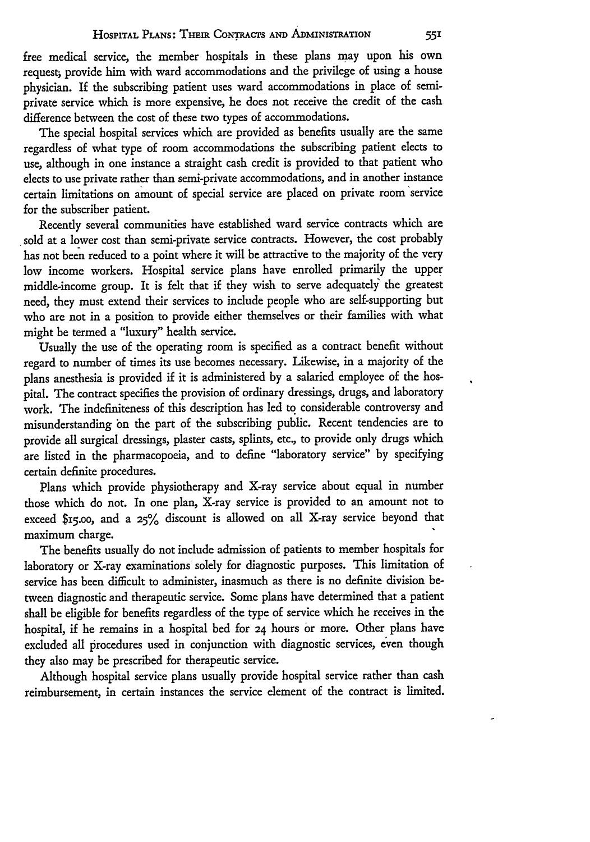free medical service, the member hospitals in these plans may upon his own request; provide him with ward accommodations and the privilege of using a house physician. If the subscribing patient uses ward accommodations in place of semiprivate service which is more expensive, he does not receive the credit of the cash difference between the cost of these two types of accommodations.

The special hospital services which are provided as benefits usually are the same regardless of what type of room accommodations the subscribing patient elects to use, although in one instance a straight cash credit is provided to that patient who elects to use private rather than semi-private accommodations, and in another instance certain limitations on amount of special service are placed on private room service for the subscriber patient.

Recently several communities have established ward service contracts which are sold at a lower cost than semi-private service contracts. However, the cost probably has not been reduced to a point where it will be attractive to the majority of the very low income workers. Hospital service plans have enrolled primarily the upper middle-income group. It is felt that if they wish to serve adequately the greatest need, they must extend their services to include people who are self-supporting but who are not in a position to provide either themselves or their families with what might be termed a "luxury" health service.

Usually the use of the operating room is specified as a contract benefit without regard to number of times its use becomes necessary. Likewise, in a majority of the plans anesthesia is provided if it is administered by a salaried employee of the hospital. The contract specifies the provision of ordinary dressings, drugs, and laboratory work. The indefiniteness of this description has led to considerable controversy and misunderstanding bn the part of the subscribing public. Recent tendencies are to provide all surgical dressings, plaster casts, splints, etc., to provide only drugs which are listed in the pharmacopoeia, and to define "laboratory service" by specifying certain definite procedures.

Plans which provide physiotherapy and X-ray service about equal in number those which do not. In one plan, X-ray service is provided to an amount not to exceed \$15.oo, and a **25%** discount is allowed on all X-ray service beyond that maximum charge.

The benefits usually do not include admission of patients to member hospitals for laboratory or X-ray examinations solely for diagnostic purposes. This limitation of service has been difficult to administer, inasmuch as there is no definite division between diagnostic and therapeutic service. Some plans have determined that a patient shall be eligible for benefits regardless of the type of service which he receives in the hospital, if he remains in a hospital bed for 24 hours or more. Other plans have excluded all procedures used in conjunction with diagnostic services, even though they also may be prescribed for therapeutic service.

Although hospital service plans usually provide hospital service rather than cash reimbursement, in certain instances the service element of the contract is limited.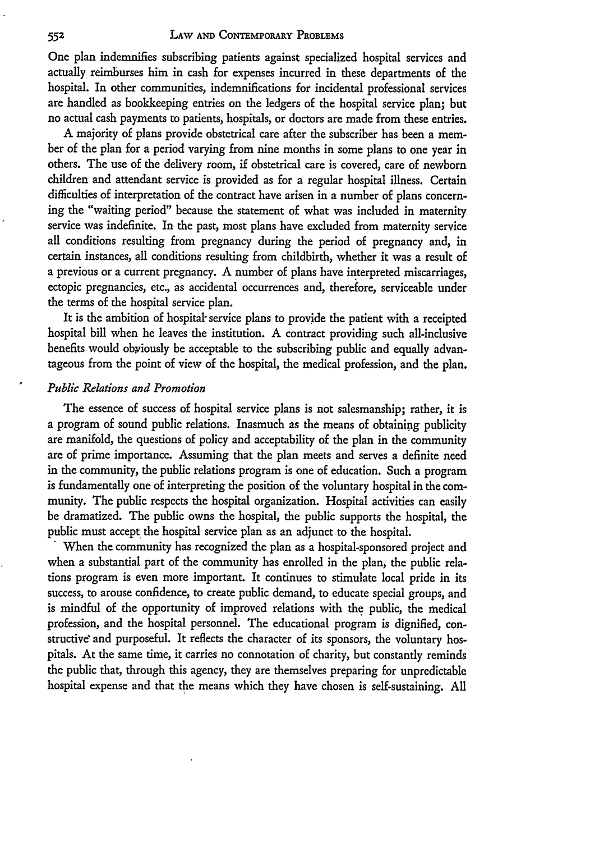# **552 LAw AND CONTEMPORARY PROBLEMS**

One plan indemnifies subscribing patients against specialized hospital services and actually reimburses him in cash for expenses incurred in these departments of the hospital. In other communities, indemnifications for incidental professional services are handled as bookkeeping entries on the ledgers of the hospital service plan; but no actual cash payments to patients, hospitals, or doctors are made from these entries.

A majority of plans provide obstetrical care after the subscriber has been a member of the plan for a period varying from nine months in some plans to one year in others. The use of the delivery room, if obstetrical care is covered, care of newborn children and attendant service is provided as for a regular hospital illness. Certain difficulties of interpretation of the contract have arisen in a number of plans concerning the "waiting period" because the statement of what was included in maternity service was indefinite. In the past, most plans have excluded from maternity service all conditions resulting from pregnancy during the period of pregnancy and, in certain instances, all conditions resulting from childbirth, whether it was a result of a previous or a current pregnancy. A number of plans have interpreted miscarriages, ectopic pregnancies, etc., as accidental occurrences and, therefore, serviceable under the terms of the hospital service plan.

It is the ambition of hospital- service plans to provide the patient with a receipted hospital bill when he leaves the institution. A contract providing such all-inclusive benefits would obviously be acceptable to the subscribing public and equally advantageous from the point of view of the hospital, the medical profession, and the plan.

### *Public Relations and Promotion*

The essence of success of hospital service plans is not salesmanship; rather, it is a program of sound public relations. Inasmuch as the means of obtaining publicity are manifold, the questions of policy and acceptability of the plan in the community are of prime importance. Assuming that the plan meets and serves a definite need in the community, the public relations program is one of education. Such a program is fundamentally one of interpreting the position of the voluntary hospital in the community. The public respects the hospital organization. Hospital activities can easily be dramatized. The public owns the hospital, the public supports the hospital, the public must accept the hospital service plan as an adjunct to the hospital.

When the community has recognized the plan as a hospital-sponsored project and when a substantial part of the community has enrolled in the plan, the public relations program is even more important. It continues to stimulate local pride in its success, to arouse confidence, to create public demand, to educate special groups, and is mindful of the opportunity of improved relations with the public, the medical profession, and the hospital personnel. The educational program is dignified, constructive' and purposeful. It reflects the character of its sponsors, the voluntary hospitals. At the same time, it carries no connotation of charity, but constantly reminds the public that, through this agency, they are themselves preparing for unpredictable hospital expense and that the means which they have chosen is self-sustaining. All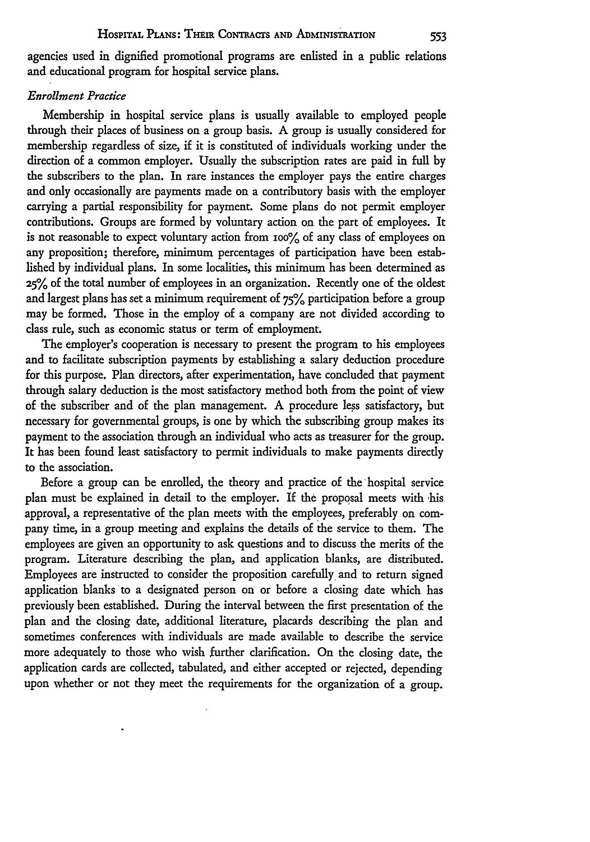agencies used in dignified promotional programs are enlisted in a public relations and educational program for hospital service plans.

### *Enrollment Practice*

Membership in hospital service plans is usually available to employed people through their places of business on a group basis. A group is usually considered for membership regardless of size, if it is constituted of individuals working under the direction of a common employer. Usually the subscription rates are paid in full by the subscribers to the plan. In rare instances the employer pays the entire charges and only occasionally are payments made on a contributory basis with the employer carrying a partial responsibility for payment. Some plans do not permit employer contributions. Groups are formed by voluntary action on the part of employees. It is not reasonable to expect voluntary action from 100% of any class of employees on any proposition; therefore, minimum percentages of participation have been established by individual plans. In some localities, this minimum has been determined as **250/** of the total number of employees in an organization. Recently one of the oldest and largest plans has set a minimum requirement of *75%* participation before a group may be formed. Those in the employ of a company are not divided according to class rule, such as economic status or term of employment.

The employer's cooperation is necessary to present the program to his employees and to facilitate subscription payments by establishing a salary deduction procedure for this purpose. Plan directors, after experimentation, have concluded that payment through salary deduction is the most satisfactory method both from the point of view of the subscriber and of the plan management. A procedure less satisfactory, but necessary for governmental groups, is one by which the subscribing group makes its payment to the association through an individual who acts as treasurer for the group. It has been found least satisfactory to permit individuals to make payments directly to the association.

Before a group can be enrolled, the theory and practice of the hospital service plan must be explained in detail to the employer. If the proposal meets with -his approval, a representative of the plan meets with the employees, preferably on company time, in a group meeting and explains the details of the service to them. The employees are given an opportunity to ask questions and to discuss the merits of the program. Literature describing the plan, and application blanks, are distributed. Employees are instructed to consider the proposition carefully and to return signed application blanks to a designated person on or before a closing date which has previously been established. During the interval between the first presentation of the plan and the closing date, additional literature, placards describing the plan and sometimes conferences with individuals are made available to describe the service more adequately to those who wish further clarification. On the closing date, the application cards are collected, tabulated, and either accepted or rejected, depending upon whether or not they meet the requirements for the organization of a group.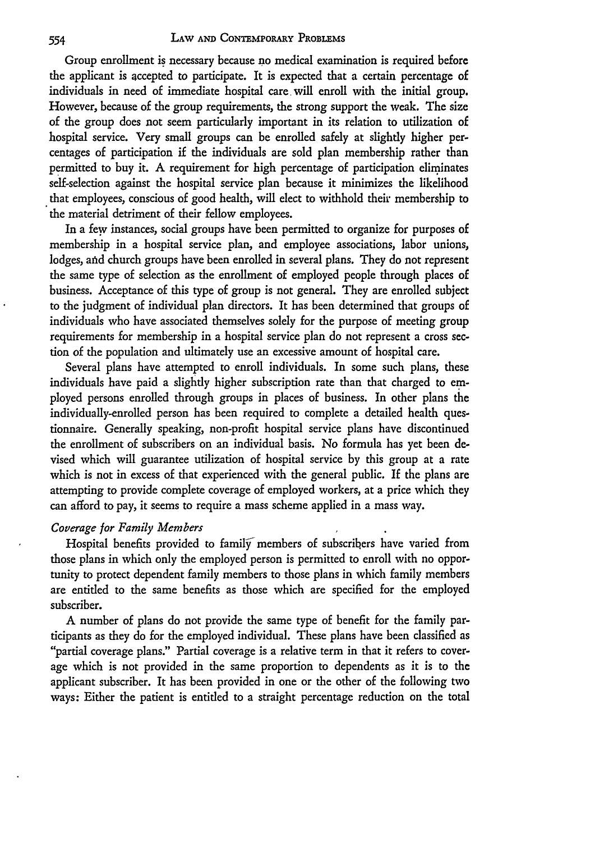Group enrollment is necessary because no medical examination is required before the applicant is accepted to participate. It is expected that a certain percentage of individuals in need of immediate hospital care. will enroll with the initial group. However, because of the group requirements, the strong support the weak. The size of the group does not seem particularly important in its relation to utilization of hospital service. Very small groups can be enrolled safely at slightly higher percentages of participation if the individuals are sold plan membership rather than permitted to buy it. A requirement for high percentage of participation eliminates self-selection against the hospital service plan because it minimizes the likelihood that employees, conscious of good health, will elect to withhold their membership to the material detriment of their fellow employees.

In a few instances, social groups have been permitted to organize for purposes of membership in a hospital service plan, and employee associations, labor unions, lodges, and church groups have been enrolled in several plans. They do not represent the same type of selection as the enrollment of employed people through places of business. Acceptance of this type of group is not general. They are enrolled subject to the judgment of individual plan directors. It has been determined that groups of individuals who have associated themselves solely for the purpose of meeting group requirements for membership in a hospital service plan do not represent a cross section of the population and ultimately use an excessive amount of hospital care.

Several plans have attempted to enroll individuals. In some such plans, these individuals have paid a slightly higher subscription rate than that charged to employed persons enrolled through groups in places of business. In other plans the individually-enrolled person has been required to complete a detailed health questionnaire. Generally speaking, non-profit hospital service plans have discontinued the enrollment of subscribers on an individual basis. No formula has yet been devised which will guarantee utilization of hospital service by this group at a rate which is not in excess of that experienced with the general public. If the plans are attempting to provide complete coverage of employed workers, at a price which they can afford to pay, it seems to require a mass scheme applied in a mass way.

# *Coverage for Family Members*

Hospital benefits provided to family members of subscribers have varied from those plans in which only the employed person is permitted to enroll with no opportunity to protect dependent family members to those plans in which family members are entitled to the same benefits as those which are specified for the employed subscriber.

A number of plans do not provide the same type of benefit for the family participants as they do for the employed individual. These plans have been classified as "partial coverage plans." Partial coverage is a relative term in that it refers to coverage which is not provided in the same proportion to dependents as it is to the applicant subscriber. It has been provided in one or the other of the following two ways: Either the patient is entitled to a straight percentage reduction on the total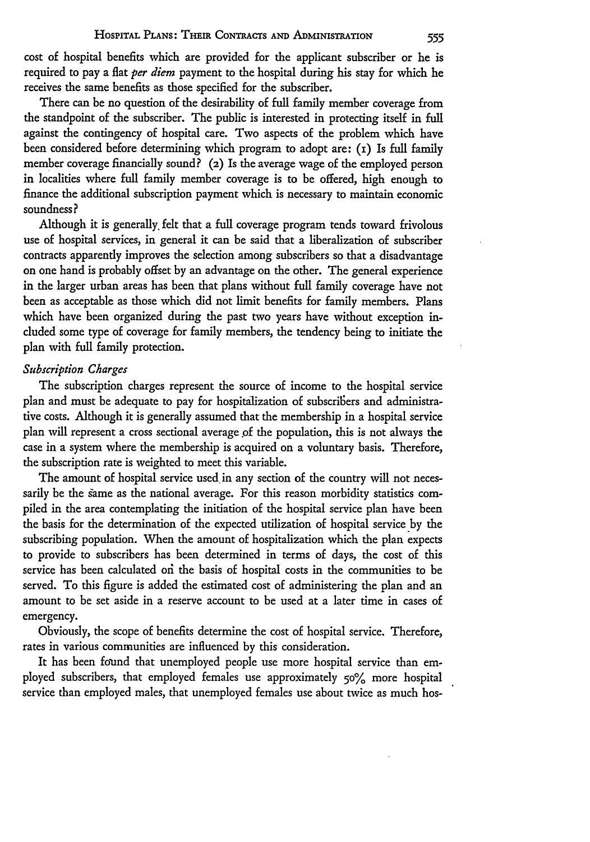cost of hospital benefits which are provided for the applicant subscriber or he is required to pay a flat *per diem* payment to the hospital during his stay for which he receives the same benefits as those specified for the subscriber.

There can be no question of the desirability of full family member coverage from the standpoint of the subscriber. The public is interested in protecting itself in **ful** against the contingency of hospital care. Two aspects of the problem which have been considered before determining which program to adopt are: (1) Is full family member coverage financially sound? **(2)** Is the average wage of the employed person in localities where full family member coverage is to be offered, high enough to finance the additional subscription payment which is necessary to maintain economic soundness?

Although it is generally, felt that a full coverage program tends toward frivolous use of hospital services, in general it can be said that a liberalization of subscriber contracts apparently improves the selection among subscribers so that a disadvantage on one hand is probably offset by an advantage on the other. The general experience in the larger urban areas has been that plans without full family coverage have not been as acceptable as those which did not limit benefits for family members. Plans which have been organized during the past two years have without exception included some type of coverage for family members, the tendency being to initiate the plan with full family protection.

# *Subscription Charges*

The subscription charges represent the source of income to the hospital service plan and must be adequate to pay for hospitalization of subscribers and administrative costs. Although it is generally assumed that the membership in a hospital service plan will represent a cross sectional average of the population, this is not always the case in a system where the membership is acquired on a voluntary basis. Therefore, the subscription rate is weighted to meet this variable.

The amount of hospital service used in any section of the country will not necessarily be the same as the national average. For this reason morbidity statistics compiled in the area contemplating the initiation of the hospital service plan have been the basis for the determination of the expected utilization of hospital service by the subscribing population. When the amount of hospitalization which the plan expects to provide to subscribers has been determined in terms of days, the cost of this service has been calculated on the basis of hospital costs in the communities to be served. To this figure is added the estimated cost of administering the plan and an amount to be set aside in a reserve account to be used at a later time in cases of emergency.

Obviously, the scope of benefits determine the cost of hospital service. Therefore, rates in various communities are influenced by this consideration.

It has been found that unemployed people use more hospital service than employed subscribers, that employed females use approximately **5o%** more hospital service than employed males, that unemployed females use about twice as much hos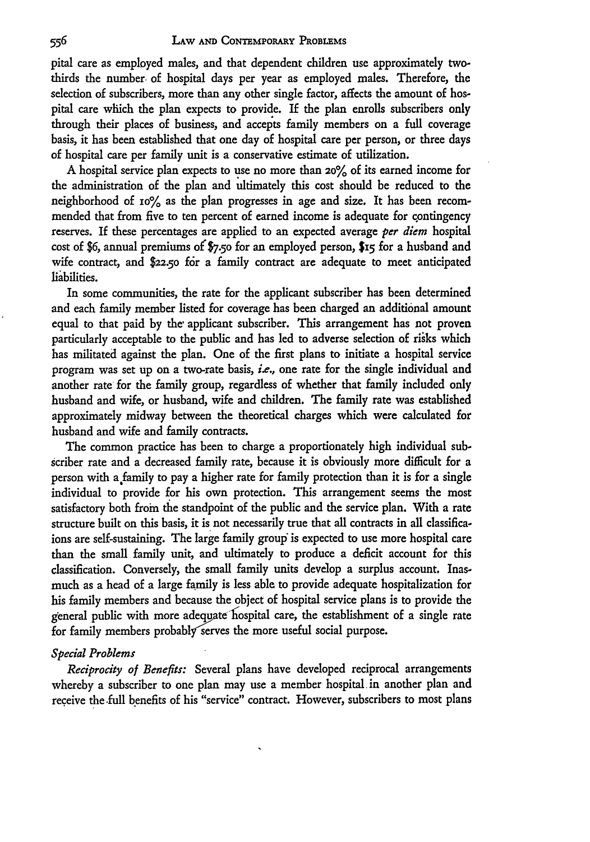pital care as employed males, and that dependent children use approximately twothirds the number of hospital days per year as employed males. Therefore, the selection of subscribers, more than any other single factor, affects the amount of hospital care which the plan expects to provide. If the plan enrolls subscribers only through their places of business, and accepts family members on a full coverage basis, it has been established that one day of hospital care per person, or three days of hospital care per family unit is a conservative estimate of utilization.

A hospital service plan expects to use no more than **20%** of its earned income for the administration of the plan and ultimately this cost should be reduced to the neighborhood of 10% as the plan progresses in age and size. It has been recommended that from five to ten percent of earned income is adequate for contingency reserves. If these percentages are applied to an expected average *per diem* hospital cost of \$6, annual premiums of \$7.5o for an employed person, **\$15** for a husband and wife contract, and \$22.50 for a family contract are adequate to meet anticipated liabilities.

In some communities, the rate for the applicant subscriber has been determined and each family member listed for coverage has been charged an additional amount equal to that paid by the' applicant subscriber. This arrangement has not proven particularly acceptable to the public and has led to adverse selection of riks which has militated against the plan. One of the first plans to initiate a hospital service program was set up on a two-rate basis, *ie.,* one rate for the single individual and another rate for the family group, regardless of whether that family included only husband and wife, or husband, wife and children. The family rate was established approximately midway between the theoretical charges which were calculated for husband and wife and family contracts.

The common practice has been to charge a proportionately high individual subscriber rate and a decreased family rate, because it is obviously more difficult for a person with a family to pay a higher rate for family protection than it is for a single individual to provide for his own protection. This arrangement seems the most satisfactory both from the standpoint of the public and the service plan. With a rate structure built on this basis, it is not necessarily true that all contracts in all classificaions are self-sustaining. The large family group is expected to use more hospital care than the small family unit, and ultimately to produce a deficit account for this classification. Conversely, the small family units develop a surplus account. Inasmuch as a head of a large family is less able to provide adequate hospitalization for his family members and because the object of hospital service plans is to provide the general public with more adequate hospital care, the establishment of a single rate for family members probably serves the more useful social purpose.

### *Special Problems*

*Reciprocity of Benefits:* Several plans have developed reciprocal arrangements whereby a subscriber to one plan may use a member hospital in another plan and receive the.full benefits of his "service" contract. However, subscribers to most plans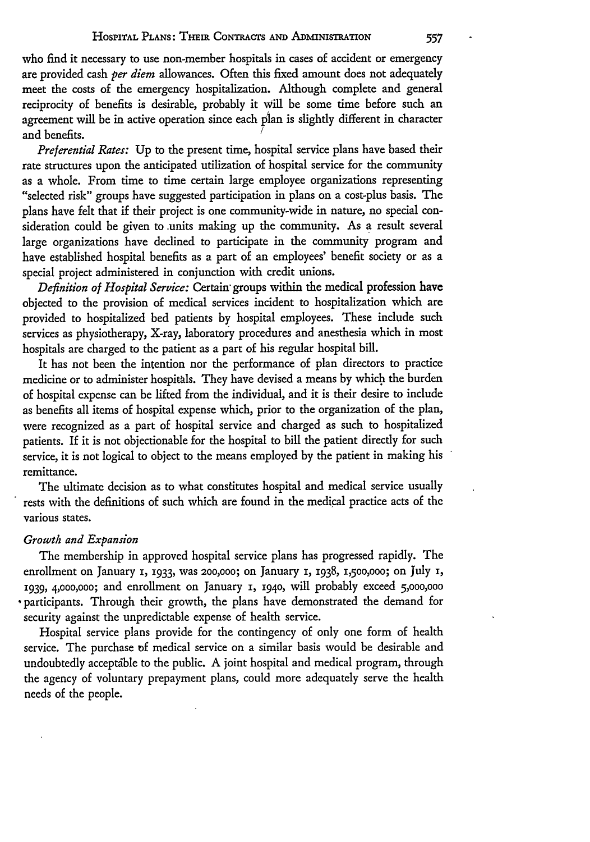who find it necessary to use non-member hospitals in cases of accident or emergency are provided cash *per diem* allowances. Often this fixed amount does not adequately meet the costs of the emergency hospitalization. Although complete and general reciprocity of benefits is desirable, probably it will be some time before such an agreement will be in active operation since each plan is **slightly** different in character and benefits. */*

*Preferential Rates:* **Up** to the present time, hospital service plans have based their rate structures upon the anticipated utilization of hospital service for the community as a whole. From time to time certain large employee organizations representing "selected risk" groups have suggested participation in plans on a cost-plus basis. The plans have felt that if their project is one community-wide in nature, no special consideration could be given to .units making up the community. As **a** result several large organizations have declined to participate in the community program and have established hospital benefits as a part of an employees' benefit society or as a special project administered in conjunction with credit unions.

*Definition of Hospital Service:* Certain- groups within the medical profession have objected to the provision of medical services incident to hospitalization which are provided to hospitalized bed patients **by** hospital employees. These include such services as physiotherapy, X-ray, laboratory procedures and anesthesia which in most hospitals are charged to the patient as a part of his regular hospital bill.

It has not been the intention nor the performance of plan directors to practice medicine or to administer hospitals. **They** have devised a means **by** which the burden of hospital expense can be lifted from the individual, and it is their desire to include as benefits all items of hospital expense which, prior to the organization of the plan, were recognized as a part of hospital service and charged as such to hospitalized patients. If it is not objectionable for the hospital to **bill** the patient directly for such service, it is not logical to object to the means employed **by** the patient in making his remittance.

The ultimate decision as to what constitutes hospital and medical service usually rests with the definitions of such which are found in the medical practice acts of the various states.

### *Growth and Expansion*

The membership in approved hospital service plans has progressed rapidly. The enrollment on January **i, 1933,** was **200,000;** on January **I, 1938,** i,5ooooo; on July **i, 1939,** 4,ooo,ooo; and enrollment on January **i, 1940,** will probably exceed **5,000,000** 'participants. Through their growth, the plans have demonstrated the demand for security against the unpredictable expense of health service.

Hospital service plans provide for the contingency of only one form of health service. The purchase **of** medical service on a similar basis would be desirable and undoubtedly acceptdble to the public. **A** joint hospital and medical program, through the agency of voluntary prepayment plans, could more adequately serve the health needs of the people.